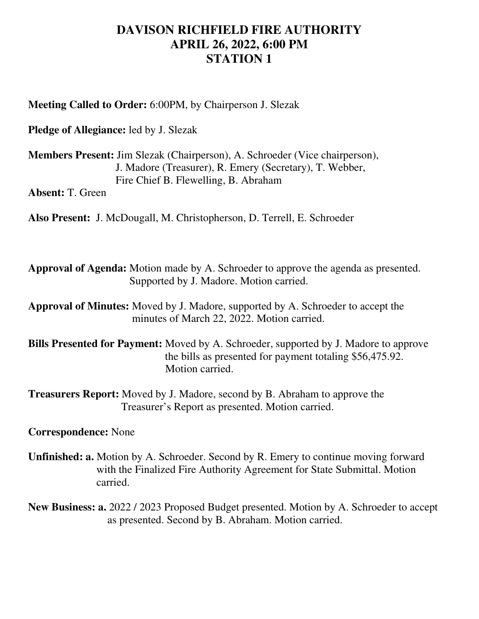## **DAVISON RICHFIELD FIRE AUTHORITY APRIL 26, 2022, 6:00 PM STATION 1**

**Meeting Called to Order:** 6:00PM, by Chairperson J. Slezak

**Pledge of Allegiance:** led by J. Slezak

**Members Present:** Jim Slezak (Chairperson), A. Schroeder (Vice chairperson), J. Madore (Treasurer), R. Emery (Secretary), T. Webber, Fire Chief B. Flewelling, B. Abraham

**Absent:** T. Green

**Also Present:** J. McDougall, M. Christopherson, D. Terrell, E. Schroeder

**Approval of Agenda:** Motion made by A. Schroeder to approve the agenda as presented. Supported by J. Madore. Motion carried.

**Approval of Minutes:** Moved by J. Madore, supported by A. Schroeder to accept the minutes of March 22, 2022. Motion carried.

**Bills Presented for Payment:** Moved by A. Schroeder, supported by J. Madore to approve the bills as presented for payment totaling \$56,475.92. Motion carried.

**Treasurers Report:** Moved by J. Madore, second by B. Abraham to approve the Treasurer's Report as presented. Motion carried.

**Correspondence:** None

**Unfinished: a.** Motion by A. Schroeder. Second by R. Emery to continue moving forward with the Finalized Fire Authority Agreement for State Submittal. Motion carried.

**New Business: a.** 2022 / 2023 Proposed Budget presented. Motion by A. Schroeder to accept as presented. Second by B. Abraham. Motion carried.